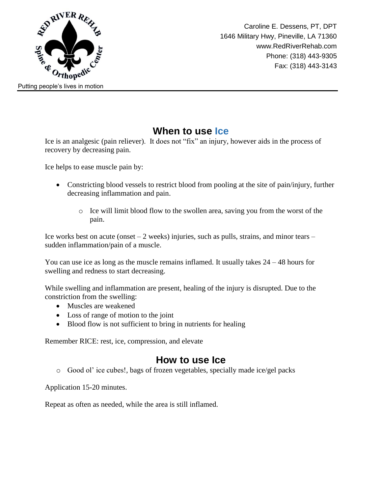

## **When to use Ice**

Ice is an analgesic (pain reliever). It does not "fix" an injury, however aids in the process of recovery by decreasing pain.

Ice helps to ease muscle pain by:

- Constricting blood vessels to restrict blood from pooling at the site of pain/injury, further decreasing inflammation and pain.
	- $\circ$  Ice will limit blood flow to the swollen area, saving you from the worst of the pain.

Ice works best on acute (onset  $-2$  weeks) injuries, such as pulls, strains, and minor tears  $$ sudden inflammation/pain of a muscle.

You can use ice as long as the muscle remains inflamed. It usually takes  $24 - 48$  hours for swelling and redness to start decreasing.

While swelling and inflammation are present, healing of the injury is disrupted. Due to the constriction from the swelling:

- Muscles are weakened
- Loss of range of motion to the joint
- Blood flow is not sufficient to bring in nutrients for healing

Remember RICE: rest, ice, compression, and elevate

## **How to use Ice**

o Good ol' ice cubes!, bags of frozen vegetables, specially made ice/gel packs

Application 15-20 minutes.

Repeat as often as needed, while the area is still inflamed.